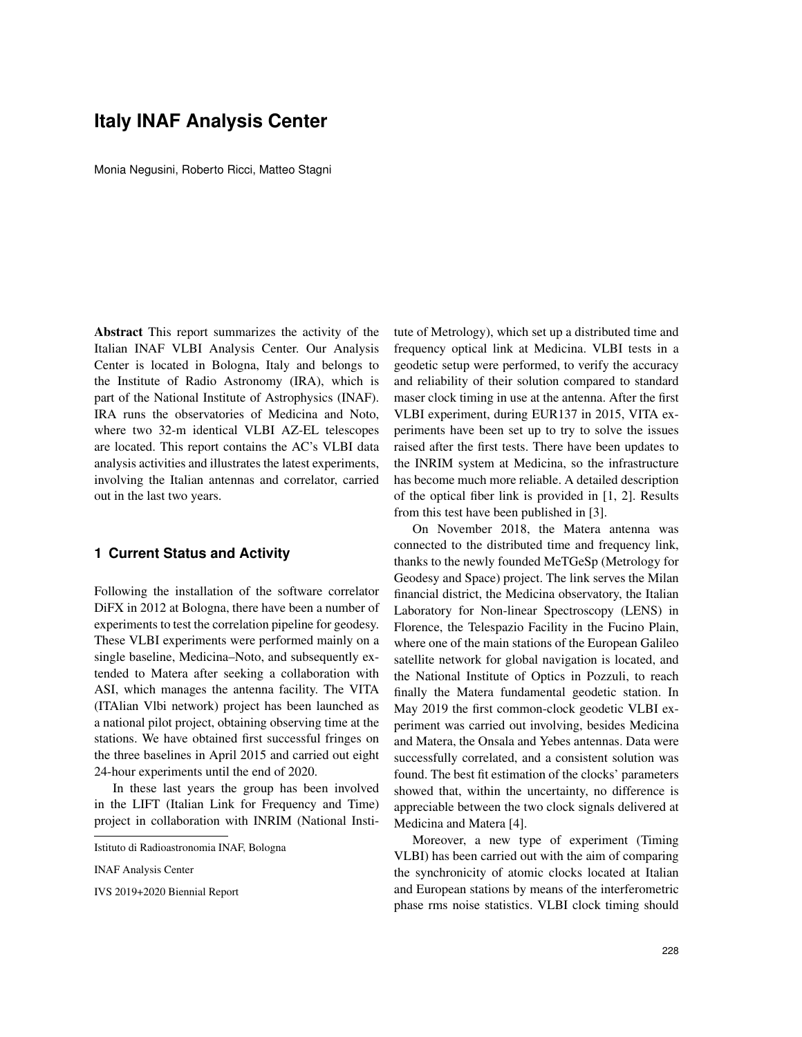## **Italy INAF Analysis Center**

Monia Negusini, Roberto Ricci, Matteo Stagni

Abstract This report summarizes the activity of the Italian INAF VLBI Analysis Center. Our Analysis Center is located in Bologna, Italy and belongs to the Institute of Radio Astronomy (IRA), which is part of the National Institute of Astrophysics (INAF). IRA runs the observatories of Medicina and Noto, where two 32-m identical VLBI AZ-EL telescopes are located. This report contains the AC's VLBI data analysis activities and illustrates the latest experiments, involving the Italian antennas and correlator, carried out in the last two years.

## **1 Current Status and Activity**

Following the installation of the software correlator DiFX in 2012 at Bologna, there have been a number of experiments to test the correlation pipeline for geodesy. These VLBI experiments were performed mainly on a single baseline, Medicina–Noto, and subsequently extended to Matera after seeking a collaboration with ASI, which manages the antenna facility. The VITA (ITAlian Vlbi network) project has been launched as a national pilot project, obtaining observing time at the stations. We have obtained first successful fringes on the three baselines in April 2015 and carried out eight 24-hour experiments until the end of 2020.

In these last years the group has been involved in the LIFT (Italian Link for Frequency and Time) project in collaboration with INRIM (National Institute of Metrology), which set up a distributed time and frequency optical link at Medicina. VLBI tests in a geodetic setup were performed, to verify the accuracy and reliability of their solution compared to standard maser clock timing in use at the antenna. After the first VLBI experiment, during EUR137 in 2015, VITA experiments have been set up to try to solve the issues raised after the first tests. There have been updates to the INRIM system at Medicina, so the infrastructure has become much more reliable. A detailed description of the optical fiber link is provided in [1, 2]. Results from this test have been published in [3].

On November 2018, the Matera antenna was connected to the distributed time and frequency link, thanks to the newly founded MeTGeSp (Metrology for Geodesy and Space) project. The link serves the Milan financial district, the Medicina observatory, the Italian Laboratory for Non-linear Spectroscopy (LENS) in Florence, the Telespazio Facility in the Fucino Plain, where one of the main stations of the European Galileo satellite network for global navigation is located, and the National Institute of Optics in Pozzuli, to reach finally the Matera fundamental geodetic station. In May 2019 the first common-clock geodetic VLBI experiment was carried out involving, besides Medicina and Matera, the Onsala and Yebes antennas. Data were successfully correlated, and a consistent solution was found. The best fit estimation of the clocks' parameters showed that, within the uncertainty, no difference is appreciable between the two clock signals delivered at Medicina and Matera [4].

Moreover, a new type of experiment (Timing VLBI) has been carried out with the aim of comparing the synchronicity of atomic clocks located at Italian and European stations by means of the interferometric phase rms noise statistics. VLBI clock timing should

Istituto di Radioastronomia INAF, Bologna

INAF Analysis Center

IVS 2019+2020 Biennial Report